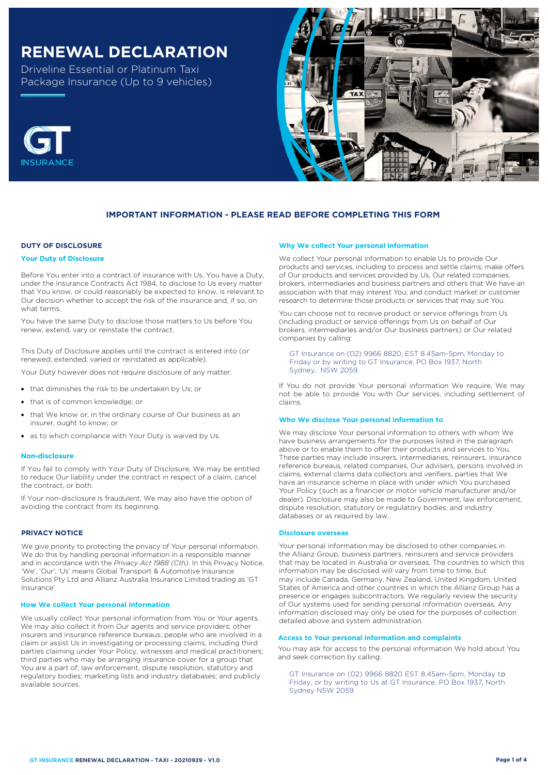# **RENEWAL DECLARATION**

Driveline Essential or Platinum Taxi Package Insurance (Up to 9 vehicles)



## **IMPORTANT INFORMATION - PLEASE READ BEFORE COMPLETING THIS FORM**

## **DUTY OF DISCLOSURE**

#### **Your Duty of Disclosure**

Before You enter into a contract of insurance with Us, You have a Duty, under the Insurance Contracts Act 1984, to disclose to Us every matter that You know, or could reasonably be expected to know, is relevant to Our decision whether to accept the risk of the insurance and, if so, on what terms.

You have the same Duty to disclose those matters to Us before You renew, extend, vary or reinstate the contract.

This Duty of Disclosure applies until the contract is entered into (or renewed, extended, varied or reinstated as applicable).

Your Duty however does not require disclosure of any matter:

- that diminishes the risk to be undertaken by Us; or
- that is of common knowledge; or
- that We know or, in the ordinary course of Our business as an insurer, ought to know; or
- as to which compliance with Your Duty is waived by Us.

#### **Non-disclosure**

If You fail to comply with Your Duty of Disclosure, We may be entitled to reduce Our liability under the contract in respect of a claim, cancel the contract, or both.

If Your non-disclosure is fraudulent, We may also have the option of avoiding the contract from its beginning.

### **PRIVACY NOTICE**

We give priority to protecting the privacy of Your personal information. We do this by handling personal information in a responsible manner and in accordance with the *Privacy Act 1988 (Cth)*. In this Privacy Notice, 'We', 'Our', 'Us' means Global Transport & Automotive Insurance Solutions Pty Ltd and Allianz Australia Insurance Limited trading as 'GT Insurance'.

#### **How We collect Your personal information**

We usually collect Your personal information from You or Your agents. We may also collect it from Our agents and service providers; other insurers and insurance reference bureaus; people who are involved in a claim or assist Us in investigating or processing claims, including third parties claiming under Your Policy, witnesses and medical practitioners; third parties who may be arranging insurance cover for a group that You are a part of; law enforcement, dispute resolution, statutory and regulatory bodies; marketing lists and industry databases; and publicly available sources.

#### **Why We collect Your personal information**

We collect Your personal information to enable Us to provide Our products and services, including to process and settle claims; make offers of Our products and services provided by Us, Our related companies, brokers, intermediaries and business partners and others that We have an association with that may interest You; and conduct market or customer research to determine those products or services that may suit You.

You can choose not to receive product or service offerings from Us (including product or service offerings from Us on behalf of Our brokers, intermediaries and/or Our business partners) or Our related companies by calling:

GT Insurance on (02) 9966 8820, EST 8.45am-5pm, Monday to Friday or by writing to GT Insurance, PO Box 1937, North Sydney, NSW 2059.

If You do not provide Your personal information We require, We may not be able to provide You with Our services, including settlement of claims.

#### **Who We disclose Your personal information to**

We may disclose Your personal information to others with whom We have business arrangements for the purposes listed in the paragraph above or to enable them to offer their products and services to You. These parties may include insurers, intermediaries, reinsurers, insurance reference bureaus, related companies, Our advisers, persons involved in claims, external claims data collectors and verifiers, parties that We have an insurance scheme in place with under which You purchased Your Policy (such as a financier or motor vehicle manufacturer and/or dealer). Disclosure may also be made to Government, law enforcement, dispute resolution, statutory or regulatory bodies, and industry databases or as required by law.

#### **Disclosure overseas**

Your personal information may be disclosed to other companies in the Allianz Group, business partners, reinsurers and service providers that may be located in Australia or overseas. The countries to which this information may be disclosed will vary from time to time, but may include Canada, Germany, New Zealand, United Kingdom, United States of America and other countries in which the Allianz Group has a presence or engages subcontractors. We regularly review the security of Our systems used for sending personal information overseas. Any information disclosed may only be used for the purposes of collection detailed above and system administration.

## **Access to Your personal information and complaints**

You may ask for access to the personal information We hold about You and seek correction by calling:

GT Insurance on (02) 9966 8820 EST 8.45am-5pm, Monday to Friday, or by writing to Us at GT Insurance, PO Box 1937, North Sydney NSW 2059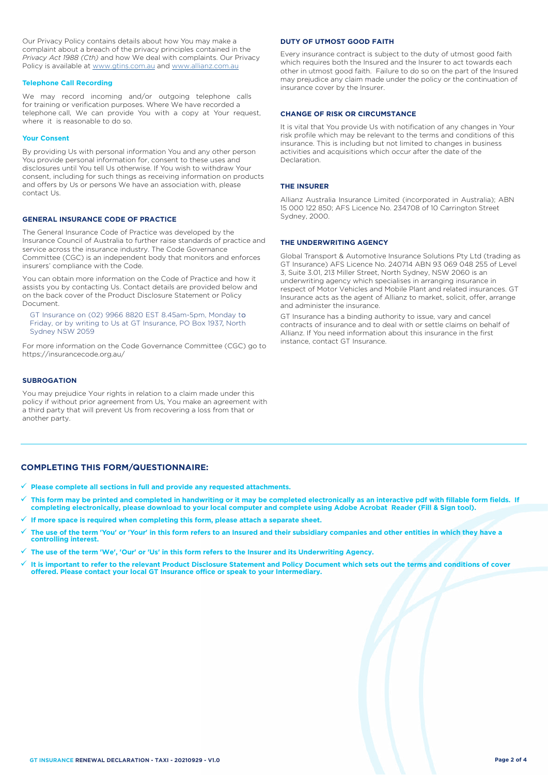Our Privacy Policy contains details about how You may make a complaint about a breach of the privacy principles contained in the *Privacy Act 1988 (Cth)* and how We deal with complaints. Our Privacy Policy is available at [www.gtins.com.au](https://www.gtins.com.au/documents-and-policies/) and [www.allianz.com.au](https://www.allianz.com.au/about-us/privacy/)

#### **Telephone Call Recording**

We may record incoming and/or outgoing telephone calls for training or verification purposes. Where We have recorded a telephone call, We can provide You with a copy at Your request, where it is reasonable to do so.

#### **Your Consent**

By providing Us with personal information You and any other person You provide personal information for, consent to these uses and disclosures until You tell Us otherwise. If You wish to withdraw Your consent, including for such things as receiving information on products and offers by Us or persons We have an association with, please contact Us.

## **GENERAL INSURANCE CODE OF PRACTICE**

The General Insurance Code of Practice was developed by the Insurance Council of Australia to further raise standards of practice and service across the insurance industry. The Code Governance Committee (CGC) is an independent body that monitors and enforces insurers' compliance with the Code.

You can obtain more information on the Code of Practice and how it assists you by contacting Us. Contact details are provided below and on the back cover of the Product Disclosure Statement or Policy Document.

, Friday, or by writing to Us at GT Insurance, PO Box 1937, North GT Insurance on (02) 9966 8820 EST 8.45am-5pm, Monday to Sydney NSW 2059

For more information on the Code Governance Committee (CGC) go to <https://insurancecode.org.au/>

#### **SUBROGATION**

You may prejudice Your rights in relation to a claim made under this policy if without prior agreement from Us, You make an agreement with a third party that will prevent Us from recovering a loss from that or another party.

#### **DUTY OF UTMOST GOOD FAITH**

Every insurance contract is subject to the duty of utmost good faith which requires both the Insured and the Insurer to act towards each other in utmost good faith. Failure to do so on the part of the Insured may prejudice any claim made under the policy or the continuation of insurance cover by the Insurer.

#### **CHANGE OF RISK OR CIRCUMSTANCE**

It is vital that You provide Us with notification of any changes in Your risk profile which may be relevant to the terms and conditions of this insurance. This is including but not limited to changes in business activities and acquisitions which occur after the date of the Declaration.

#### **THE INSURER**

Allianz Australia Insurance Limited (incorporated in Australia); ABN 15 000 122 850; AFS Licence No. 234708 of 10 Carrington Street Sydney, 2000.

### **THE UNDERWRITING AGENCY**

Global Transport & Automotive Insurance Solutions Pty Ltd (trading as GT Insurance) AFS Licence No. 240714 ABN 93 069 048 255 of Level 3, Suite 3.01, 213 Miller Street, North Sydney, NSW 2060 is an underwriting agency which specialises in arranging insurance in respect of Motor Vehicles and Mobile Plant and related insurances. GT Insurance acts as the agent of Allianz to market, solicit, offer, arrange and administer the insurance.

GT Insurance has a binding authority to issue, vary and cancel contracts of insurance and to deal with or settle claims on behalf of Allianz. If You need information about this insurance in the first instance, contact GT Insurance.

## **COMPLETING THIS FORM/QUESTIONNAIRE:**

- **Please complete all sections in full and provide any requested attachments.**
- **This form may be printed and completed in handwriting or it may be completed electronically as an interactive pdf with fillable form fields. If completing electronically, please download to your local computer and complete using Adobe Acrobat Reader (Fill & Sign tool).**
- **If more space is required when completing this form, please attach a separate sheet.**
- **The use of the term 'You' or 'Your' in this form refers to an Insured and their subsidiary companies and other entities in which they have a controlling interest.**
- **The use of the term 'We', 'Our' or 'Us' in this form refers to the Insurer and its Underwriting Agency.**
- **It is important to refer to the relevant Product Disclosure Statement and Policy Document which sets out the terms and conditions of cover offered. Please contact your local GT Insurance office or speak to your Intermediary.**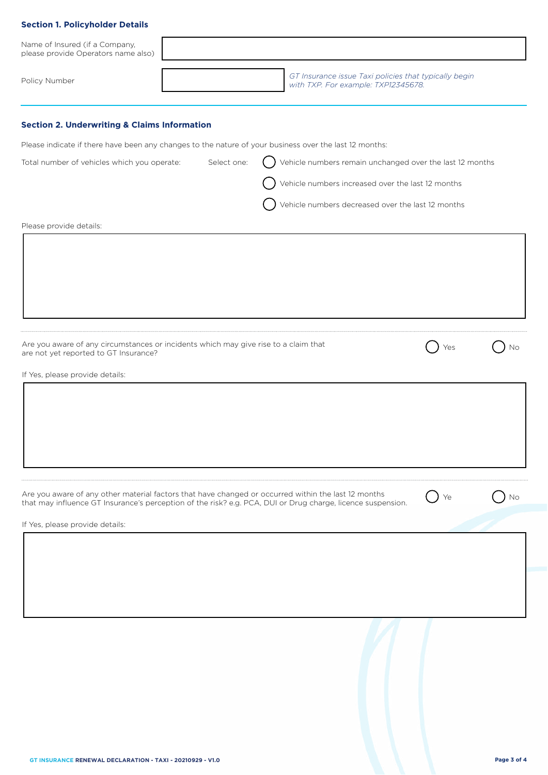| <b>Section 1. Policyholder Details</b>                                                                                       |                                                                                              |                  |    |
|------------------------------------------------------------------------------------------------------------------------------|----------------------------------------------------------------------------------------------|------------------|----|
| Name of Insured (if a Company,<br>please provide Operators name also)                                                        |                                                                                              |                  |    |
| Policy Number                                                                                                                | GT Insurance issue Taxi policies that typically begin<br>with TXP. For example: TXP12345678. |                  |    |
| <b>Section 2. Underwriting &amp; Claims Information</b>                                                                      |                                                                                              |                  |    |
| Please indicate if there have been any changes to the nature of your business over the last 12 months:                       |                                                                                              |                  |    |
| Select one:<br>Total number of vehicles which you operate:                                                                   | Vehicle numbers remain unchanged over the last 12 months                                     |                  |    |
|                                                                                                                              | Vehicle numbers increased over the last 12 months                                            |                  |    |
|                                                                                                                              | Vehicle numbers decreased over the last 12 months                                            |                  |    |
| Please provide details:                                                                                                      |                                                                                              |                  |    |
|                                                                                                                              |                                                                                              |                  |    |
|                                                                                                                              |                                                                                              |                  |    |
|                                                                                                                              |                                                                                              |                  |    |
|                                                                                                                              |                                                                                              |                  |    |
|                                                                                                                              |                                                                                              |                  |    |
| Are you aware of any circumstances or incidents which may give rise to a claim that<br>are not yet reported to GT Insurance? |                                                                                              | Yes              | No |
| If Yes, please provide details:                                                                                              |                                                                                              |                  |    |
|                                                                                                                              |                                                                                              |                  |    |
|                                                                                                                              |                                                                                              |                  |    |
|                                                                                                                              |                                                                                              |                  |    |
|                                                                                                                              |                                                                                              |                  |    |
|                                                                                                                              |                                                                                              |                  |    |
| Are you aware of any other material factors that have changed or occurred within the last 12 months                          |                                                                                              | $\rightarrow$ Ye | No |
| that may influence GT Insurance's perception of the risk? e.g. PCA, DUI or Drug charge, licence suspension.                  |                                                                                              |                  |    |
| If Yes, please provide details:                                                                                              |                                                                                              |                  |    |
|                                                                                                                              |                                                                                              |                  |    |
|                                                                                                                              |                                                                                              |                  |    |
|                                                                                                                              |                                                                                              |                  |    |
|                                                                                                                              |                                                                                              |                  |    |
|                                                                                                                              |                                                                                              |                  |    |